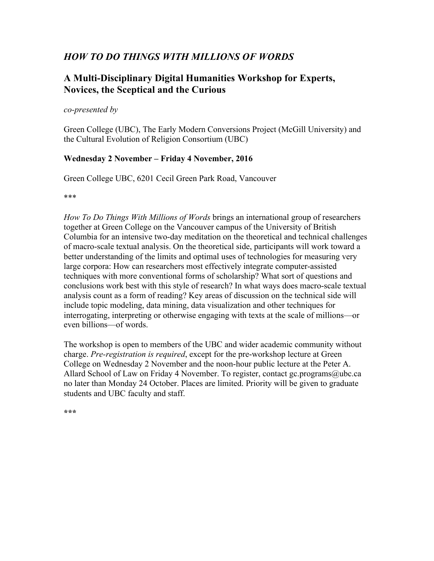# *HOW TO DO THINGS WITH MILLIONS OF WORDS*

# **A Multi-Disciplinary Digital Humanities Workshop for Experts, Novices, the Sceptical and the Curious**

### *co-presented by*

Green College (UBC), The Early Modern Conversions Project (McGill University) and the Cultural Evolution of Religion Consortium (UBC)

### **Wednesday 2 November – Friday 4 November, 2016**

Green College UBC, 6201 Cecil Green Park Road, Vancouver

\*\*\*

*How To Do Things With Millions of Words* brings an international group of researchers together at Green College on the Vancouver campus of the University of British Columbia for an intensive two-day meditation on the theoretical and technical challenges of macro-scale textual analysis. On the theoretical side, participants will work toward a better understanding of the limits and optimal uses of technologies for measuring very large corpora: How can researchers most effectively integrate computer-assisted techniques with more conventional forms of scholarship? What sort of questions and conclusions work best with this style of research? In what ways does macro-scale textual analysis count as a form of reading? Key areas of discussion on the technical side will include topic modeling, data mining, data visualization and other techniques for interrogating, interpreting or otherwise engaging with texts at the scale of millions—or even billions—of words.

The workshop is open to members of the UBC and wider academic community without charge. *Pre-registration is required*, except for the pre-workshop lecture at Green College on Wednesday 2 November and the noon-hour public lecture at the Peter A. Allard School of Law on Friday 4 November. To register, contact gc.programs@ubc.ca no later than Monday 24 October. Places are limited. Priority will be given to graduate students and UBC faculty and staff.

**\*\*\***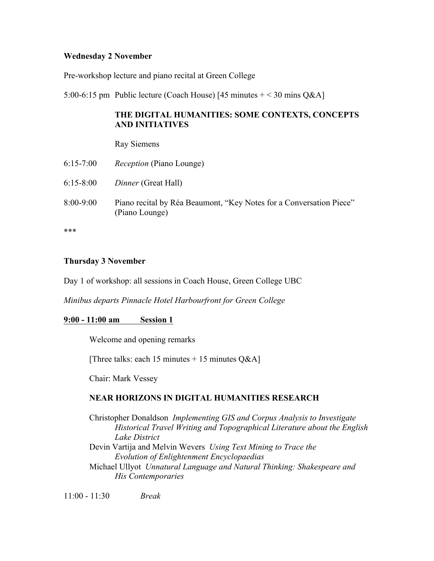### **Wednesday 2 November**

Pre-workshop lecture and piano recital at Green College

5:00-6:15 pm Public lecture (Coach House) [45 minutes  $+ < 30$  mins Q&A]

# **THE DIGITAL HUMANITIES: SOME CONTEXTS, CONCEPTS AND INITIATIVES**

Ray Siemens

6:15-7:00 *Reception* (Piano Lounge) 6:15-8:00 *Dinner* (Great Hall) 8:00-9:00 Piano recital by Réa Beaumont, "Key Notes for a Conversation Piece" (Piano Lounge)

\*\*\*

### **Thursday 3 November**

Day 1 of workshop: all sessions in Coach House, Green College UBC

*Minibus departs Pinnacle Hotel Harbourfront for Green College*

# **9:00 - 11:00 am Session 1**

Welcome and opening remarks

[Three talks: each 15 minutes  $+ 15$  minutes  $Q&A$ ]

Chair: Mark Vessey

# **NEAR HORIZONS IN DIGITAL HUMANITIES RESEARCH**

Christopher Donaldson *Implementing GIS and Corpus Analysis to Investigate Historical Travel Writing and Topographical Literature about the English Lake District* Devin Vartija and Melvin Wevers *Using Text Mining to Trace the Evolution of Enlightenment Encyclopaedias* Michael Ullyot *Unnatural Language and Natural Thinking: Shakespeare and His Contemporaries*

11:00 - 11:30 *Break*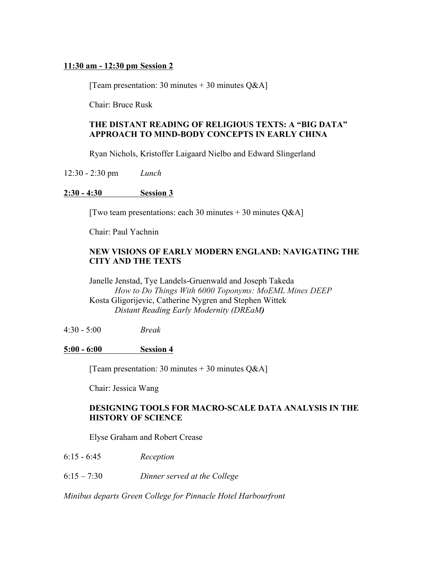### **11:30 am - 12:30 pm Session 2**

[Team presentation: 30 minutes  $+$  30 minutes  $Q&A$ ]

Chair: Bruce Rusk

# **THE DISTANT READING OF RELIGIOUS TEXTS: A "BIG DATA" APPROACH TO MIND-BODY CONCEPTS IN EARLY CHINA**

Ryan Nichols, Kristoffer Laigaard Nielbo and Edward Slingerland

12:30 - 2:30 pm *Lunch*

#### **2:30 - 4:30 Session 3**

[Two team presentations: each 30 minutes  $+$  30 minutes  $Q&A$ ]

Chair: Paul Yachnin

### **NEW VISIONS OF EARLY MODERN ENGLAND: NAVIGATING THE CITY AND THE TEXTS**

Janelle Jenstad, Tye Landels-Gruenwald and Joseph Takeda *How to Do Things With 6000 Toponyms: MoEML Mines DEEP* Kosta Gligorijevic, Catherine Nygren and Stephen Wittek *Distant Reading Early Modernity (DREaM)*

#### 4:30 - 5:00 *Break*

#### **5:00 - 6:00 Session 4**

[Team presentation: 30 minutes  $+$  30 minutes  $Q&A$ ]

Chair: Jessica Wang

### **DESIGNING TOOLS FOR MACRO-SCALE DATA ANALYSIS IN THE HISTORY OF SCIENCE**

Elyse Graham and Robert Crease

- 6:15 6:45 *Reception*
- 6:15 7:30 *Dinner served at the College*

*Minibus departs Green College for Pinnacle Hotel Harbourfront*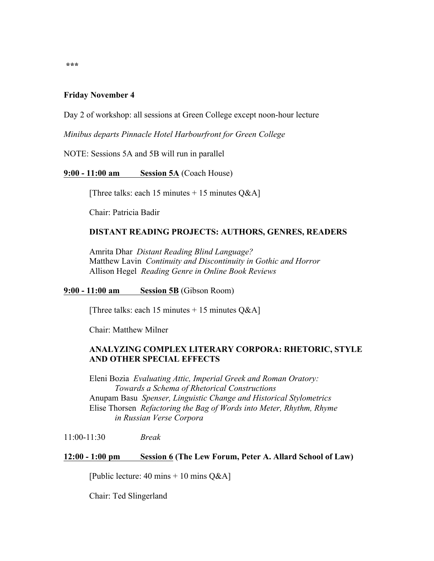### **Friday November 4**

Day 2 of workshop: all sessions at Green College except noon-hour lecture

*Minibus departs Pinnacle Hotel Harbourfront for Green College*

NOTE: Sessions 5A and 5B will run in parallel

#### **9:00 - 11:00 am Session 5A** (Coach House)

[Three talks: each 15 minutes  $+ 15$  minutes  $Q&A$ ]

Chair: Patricia Badir

#### **DISTANT READING PROJECTS: AUTHORS, GENRES, READERS**

Amrita Dhar *Distant Reading Blind Language?* Matthew Lavin *Continuity and Discontinuity in Gothic and Horror* Allison Hegel *Reading Genre in Online Book Reviews*

#### **9:00 - 11:00 am Session 5B** (Gibson Room)

[Three talks: each 15 minutes  $+ 15$  minutes  $Q&A$ ]

Chair: Matthew Milner

### **ANALYZING COMPLEX LITERARY CORPORA: RHETORIC, STYLE AND OTHER SPECIAL EFFECTS**

Eleni Bozia *Evaluating Attic, Imperial Greek and Roman Oratory: Towards a Schema of Rhetorical Constructions* Anupam Basu *Spenser, Linguistic Change and Historical Stylometrics* Elise Thorsen *Refactoring the Bag of Words into Meter, Rhythm, Rhyme in Russian Verse Corpora*

#### 11:00-11:30 *Break*

#### **12:00 - 1:00 pm Session 6 (The Lew Forum, Peter A. Allard School of Law)**

[Public lecture: 40 mins + 10 mins  $Q&A$ ]

Chair: Ted Slingerland

**\*\*\***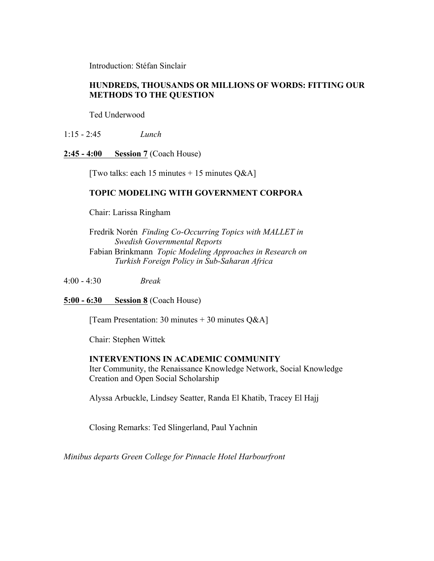Introduction: Stéfan Sinclair

# **HUNDREDS, THOUSANDS OR MILLIONS OF WORDS: FITTING OUR METHODS TO THE QUESTION**

Ted Underwood

- 1:15 2:45 *Lunch*
- **2:45 - 4:00 Session 7** (Coach House)

[Two talks: each 15 minutes  $+ 15$  minutes  $Q&A$ ]

### **TOPIC MODELING WITH GOVERNMENT CORPORA**

Chair: Larissa Ringham

Fredrik Norén *Finding Co-Occurring Topics with MALLET in Swedish Governmental Reports* Fabian Brinkmann *Topic Modeling Approaches in Research on Turkish Foreign Policy in Sub-Saharan Africa*

4:00 - 4:30 *Break*

**5:00 - 6:30 Session 8** (Coach House)

[Team Presentation: 30 minutes  $+$  30 minutes  $Q&A$ ]

Chair: Stephen Wittek

### **INTERVENTIONS IN ACADEMIC COMMUNITY**

Iter Community, the Renaissance Knowledge Network, Social Knowledge Creation and Open Social Scholarship

Alyssa Arbuckle, Lindsey Seatter, Randa El Khatib, Tracey El Hajj

Closing Remarks: Ted Slingerland, Paul Yachnin

*Minibus departs Green College for Pinnacle Hotel Harbourfront*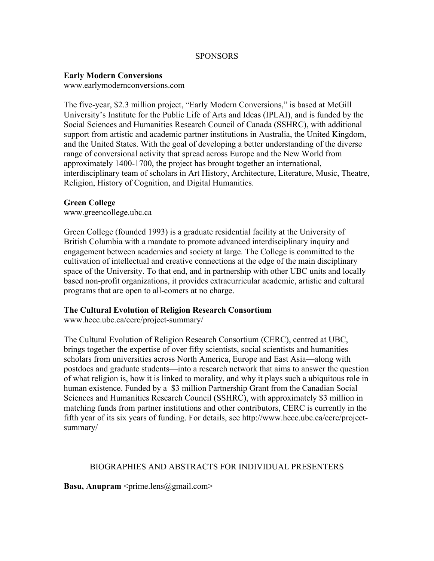#### **SPONSORS**

#### **Early Modern Conversions**

www.earlymodernconversions.com

The five-year, \$2.3 million project, "Early Modern Conversions," is based at McGill University's Institute for the Public Life of Arts and Ideas (IPLAI), and is funded by the Social Sciences and Humanities Research Council of Canada (SSHRC), with additional support from artistic and academic partner institutions in Australia, the United Kingdom, and the United States. With the goal of developing a better understanding of the diverse range of conversional activity that spread across Europe and the New World from approximately 1400-1700, the project has brought together an international, interdisciplinary team of scholars in Art History, Architecture, Literature, Music, Theatre, Religion, History of Cognition, and Digital Humanities.

#### **Green College**

www.greencollege.ubc.ca

Green College (founded 1993) is a graduate residential facility at the University of British Columbia with a mandate to promote advanced interdisciplinary inquiry and engagement between academics and society at large. The College is committed to the cultivation of intellectual and creative connections at the edge of the main disciplinary space of the University. To that end, and in partnership with other UBC units and locally based non-profit organizations, it provides extracurricular academic, artistic and cultural programs that are open to all-comers at no charge.

### **The Cultural Evolution of Religion Research Consortium**

www.hecc.ubc.ca/cerc/project-summary/

The Cultural Evolution of Religion Research Consortium (CERC), centred at UBC, brings together the expertise of over fifty scientists, social scientists and humanities scholars from universities across North America, Europe and East Asia—along with postdocs and graduate students—into a research network that aims to answer the question of what religion is, how it is linked to morality, and why it plays such a ubiquitous role in human existence. Funded by a \$3 million Partnership Grant from the Canadian Social Sciences and Humanities Research Council (SSHRC), with approximately \$3 million in matching funds from partner institutions and other contributors, CERC is currently in the fifth year of its six years of funding. For details, see http://www.hecc.ubc.ca/cerc/projectsummary/

### BIOGRAPHIES AND ABSTRACTS FOR INDIVIDUAL PRESENTERS

**Basu, Anupram**  $\langle$ prime.lens@gmail.com>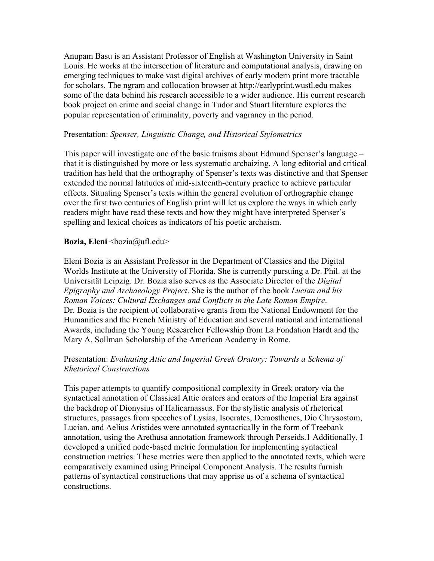Anupam Basu is an Assistant Professor of English at Washington University in Saint Louis. He works at the intersection of literature and computational analysis, drawing on emerging techniques to make vast digital archives of early modern print more tractable for scholars. The ngram and collocation browser at http://earlyprint.wustl.edu makes some of the data behind his research accessible to a wider audience. His current research book project on crime and social change in Tudor and Stuart literature explores the popular representation of criminality, poverty and vagrancy in the period.

#### Presentation: *Spenser, Linguistic Change, and Historical Stylometrics*

This paper will investigate one of the basic truisms about Edmund Spenser's language – that it is distinguished by more or less systematic archaizing. A long editorial and critical tradition has held that the orthography of Spenser's texts was distinctive and that Spenser extended the normal latitudes of mid-sixteenth-century practice to achieve particular effects. Situating Spenser's texts within the general evolution of orthographic change over the first two centuries of English print will let us explore the ways in which early readers might have read these texts and how they might have interpreted Spenser's spelling and lexical choices as indicators of his poetic archaism.

### **Bozia, Eleni** <br/>bozia@ufl.edu>

Eleni Bozia is an Assistant Professor in the Department of Classics and the Digital Worlds Institute at the University of Florida. She is currently pursuing a Dr. Phil. at the Universität Leipzig. Dr. Bozia also serves as the Associate Director of the *Digital Epigraphy and Archaeology Project*. She is the author of the book *Lucian and his Roman Voices: Cultural Exchanges and Conflicts in the Late Roman Empire*. Dr. Bozia is the recipient of collaborative grants from the National Endowment for the Humanities and the French Ministry of Education and several national and international Awards, including the Young Researcher Fellowship from La Fondation Hardt and the Mary A. Sollman Scholarship of the American Academy in Rome.

### Presentation: *Evaluating Attic and Imperial Greek Oratory: Towards a Schema of Rhetorical Constructions*

This paper attempts to quantify compositional complexity in Greek oratory via the syntactical annotation of Classical Attic orators and orators of the Imperial Era against the backdrop of Dionysius of Halicarnassus. For the stylistic analysis of rhetorical structures, passages from speeches of Lysias, Isocrates, Demosthenes, Dio Chrysostom, Lucian, and Aelius Aristides were annotated syntactically in the form of Treebank annotation, using the Arethusa annotation framework through Perseids.1 Additionally, I developed a unified node-based metric formulation for implementing syntactical construction metrics. These metrics were then applied to the annotated texts, which were comparatively examined using Principal Component Analysis. The results furnish patterns of syntactical constructions that may apprise us of a schema of syntactical constructions.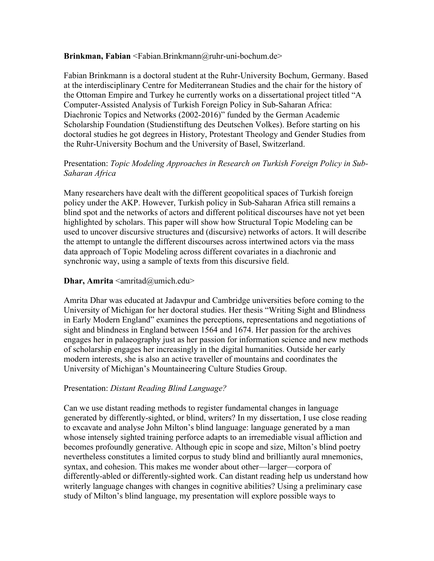### **Brinkman, Fabian** <Fabian.Brinkmann@ruhr-uni-bochum.de>

Fabian Brinkmann is a doctoral student at the Ruhr-University Bochum, Germany. Based at the interdisciplinary Centre for Mediterranean Studies and the chair for the history of the Ottoman Empire and Turkey he currently works on a dissertational project titled "A Computer-Assisted Analysis of Turkish Foreign Policy in Sub-Saharan Africa: Diachronic Topics and Networks (2002-2016)" funded by the German Academic Scholarship Foundation (Studienstiftung des Deutschen Volkes). Before starting on his doctoral studies he got degrees in History, Protestant Theology and Gender Studies from the Ruhr-University Bochum and the University of Basel, Switzerland.

# Presentation: *Topic Modeling Approaches in Research on Turkish Foreign Policy in Sub-Saharan Africa*

Many researchers have dealt with the different geopolitical spaces of Turkish foreign policy under the AKP. However, Turkish policy in Sub-Saharan Africa still remains a blind spot and the networks of actors and different political discourses have not yet been highlighted by scholars. This paper will show how Structural Topic Modeling can be used to uncover discursive structures and (discursive) networks of actors. It will describe the attempt to untangle the different discourses across intertwined actors via the mass data approach of Topic Modeling across different covariates in a diachronic and synchronic way, using a sample of texts from this discursive field.

### **Dhar, Amrita** <amritad@umich.edu>

Amrita Dhar was educated at Jadavpur and Cambridge universities before coming to the University of Michigan for her doctoral studies. Her thesis "Writing Sight and Blindness in Early Modern England" examines the perceptions, representations and negotiations of sight and blindness in England between 1564 and 1674. Her passion for the archives engages her in palaeography just as her passion for information science and new methods of scholarship engages her increasingly in the digital humanities. Outside her early modern interests, she is also an active traveller of mountains and coordinates the University of Michigan's Mountaineering Culture Studies Group.

# Presentation: *Distant Reading Blind Language?*

Can we use distant reading methods to register fundamental changes in language generated by differently-sighted, or blind, writers? In my dissertation, I use close reading to excavate and analyse John Milton's blind language: language generated by a man whose intensely sighted training perforce adapts to an irremediable visual affliction and becomes profoundly generative. Although epic in scope and size, Milton's blind poetry nevertheless constitutes a limited corpus to study blind and brilliantly aural mnemonics, syntax, and cohesion. This makes me wonder about other—larger—corpora of differently-abled or differently-sighted work. Can distant reading help us understand how writerly language changes with changes in cognitive abilities? Using a preliminary case study of Milton's blind language, my presentation will explore possible ways to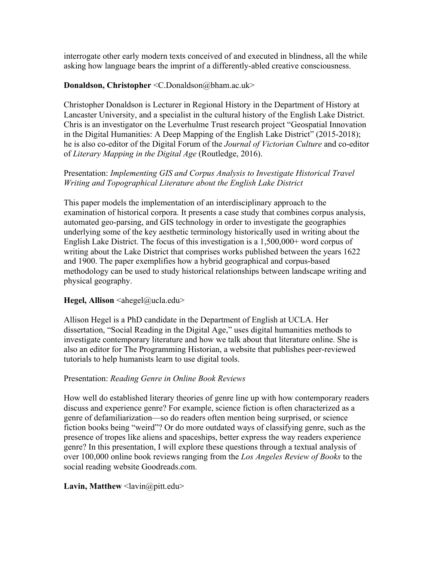interrogate other early modern texts conceived of and executed in blindness, all the while asking how language bears the imprint of a differently-abled creative consciousness.

# **Donaldson, Christopher** <C.Donaldson@bham.ac.uk>

Christopher Donaldson is Lecturer in Regional History in the Department of History at Lancaster University, and a specialist in the cultural history of the English Lake District. Chris is an investigator on the Leverhulme Trust research project "Geospatial Innovation in the Digital Humanities: A Deep Mapping of the English Lake District" (2015-2018); he is also co-editor of the Digital Forum of the *Journal of Victorian Culture* and co-editor of *Literary Mapping in the Digital Age* (Routledge, 2016).

# Presentation: *Implementing GIS and Corpus Analysis to Investigate Historical Travel Writing and Topographical Literature about the English Lake District*

This paper models the implementation of an interdisciplinary approach to the examination of historical corpora. It presents a case study that combines corpus analysis, automated geo-parsing, and GIS technology in order to investigate the geographies underlying some of the key aesthetic terminology historically used in writing about the English Lake District. The focus of this investigation is a 1,500,000+ word corpus of writing about the Lake District that comprises works published between the years 1622 and 1900. The paper exemplifies how a hybrid geographical and corpus-based methodology can be used to study historical relationships between landscape writing and physical geography.

# **Hegel, Allison** <ahegel@ucla.edu>

Allison Hegel is a PhD candidate in the Department of English at UCLA. Her dissertation, "Social Reading in the Digital Age," uses digital humanities methods to investigate contemporary literature and how we talk about that literature online. She is also an editor for The Programming Historian, a website that publishes peer-reviewed tutorials to help humanists learn to use digital tools.

# Presentation: *Reading Genre in Online Book Reviews*

How well do established literary theories of genre line up with how contemporary readers discuss and experience genre? For example, science fiction is often characterized as a genre of defamiliarization—so do readers often mention being surprised, or science fiction books being "weird"? Or do more outdated ways of classifying genre, such as the presence of tropes like aliens and spaceships, better express the way readers experience genre? In this presentation, I will explore these questions through a textual analysis of over 100,000 online book reviews ranging from the *Los Angeles Review of Books* to the social reading website Goodreads.com.

# **Lavin, Matthew** <lavin@pitt.edu>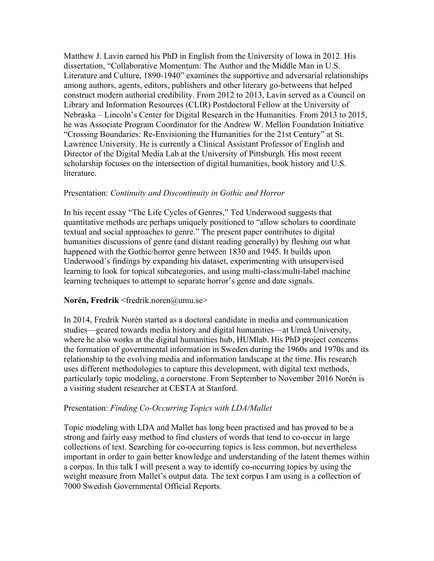Matthew J. Lavin earned his PhD in English from the University of Iowa in 2012. His dissertation, "Collaborative Momentum: The Author and the Middle Man in U.S. Literature and Culture, 1890-1940" examines the supportive and adversarial relationships among authors, agents, editors, publishers and other literary go-betweens that helped construct modern authorial credibility. From 2012 to 2013, Lavin served as a Council on Library and Information Resources (CLIR) Postdoctoral Fellow at the University of Nebraska – Lincoln's Center for Digital Research in the Humanities. From 2013 to 2015, he was Associate Program Coordinator for the Andrew W. Mellon Foundation Initiative "Crossing Boundaries: Re-Envisioning the Humanities for the 21st Century" at St. Lawrence University. He is currently a Clinical Assistant Professor of English and Director of the Digital Media Lab at the University of Pittsburgh. His most recent scholarship focuses on the intersection of digital humanities, book history and U.S. literature.

### Presentation: *Continuity and Discontinuity in Gothic and Horror*

In his recent essay "The Life Cycles of Genres," Ted Underwood suggests that quantitative methods are perhaps uniquely positioned to "allow scholars to coordinate textual and social approaches to genre." The present paper contributes to digital humanities discussions of genre (and distant reading generally) by fleshing out what happened with the Gothic/horror genre between 1830 and 1945. It builds upon Underwood's findings by expanding his dataset, experimenting with unsupervised learning to look for topical subcategories, and using multi-class/multi-label machine learning techniques to attempt to separate horror's genre and date signals.

# **Norén, Fredrik** <fredrik.noren@umu.se>

In 2014, Fredrik Norén started as a doctoral candidate in media and communication studies—geared towards media history and digital humanities—at Umeå University, where he also works at the digital humanities hub, HUMlab. His PhD project concerns the formation of governmental information in Sweden during the 1960s and 1970s and its relationship to the evolving media and information landscape at the time. His research uses different methodologies to capture this development, with digital text methods, particularly topic modeling, a cornerstone. From September to November 2016 Norén is a visiting student researcher at CESTA at Stanford.

### Presentation: *Finding Co-Occurring Topics with LDA/Mallet*

Topic modeling with LDA and Mallet has long been practised and has proved to be a strong and fairly easy method to find clusters of words that tend to co-occur in large collections of text. Searching for co-occurring topics is less common, but nevertheless important in order to gain better knowledge and understanding of the latent themes within a corpus. In this talk I will present a way to identify co-occurring topics by using the weight measure from Mallet's output data. The text corpus I am using is a collection of 7000 Swedish Governmental Official Reports.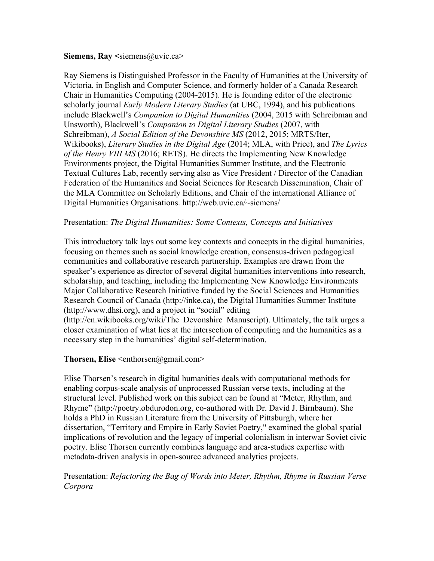#### **Siemens, Ray <**siemens@uvic.ca>

Ray Siemens is Distinguished Professor in the Faculty of Humanities at the University of Victoria, in English and Computer Science, and formerly holder of a Canada Research Chair in Humanities Computing (2004-2015). He is founding editor of the electronic scholarly journal *Early Modern Literary Studies* (at UBC, 1994), and his publications include Blackwell's *Companion to Digital Humanities* (2004, 2015 with Schreibman and Unsworth), Blackwell's *Companion to Digital Literary Studies* (2007, with Schreibman), *A Social Edition of the Devonshire MS* (2012, 2015; MRTS/Iter, Wikibooks), *Literary Studies in the Digital Age* (2014; MLA, with Price), and *The Lyrics of the Henry VIII MS* (2016; RETS). He directs the Implementing New Knowledge Environments project, the Digital Humanities Summer Institute, and the Electronic Textual Cultures Lab, recently serving also as Vice President / Director of the Canadian Federation of the Humanities and Social Sciences for Research Dissemination, Chair of the MLA Committee on Scholarly Editions, and Chair of the international Alliance of Digital Humanities Organisations. http://web.uvic.ca/~siemens/

### Presentation: *The Digital Humanities: Some Contexts, Concepts and Initiatives*

This introductory talk lays out some key contexts and concepts in the digital humanities, focusing on themes such as social knowledge creation, consensus-driven pedagogical communities and collaborative research partnership. Examples are drawn from the speaker's experience as director of several digital humanities interventions into research, scholarship, and teaching, including the Implementing New Knowledge Environments Major Collaborative Research Initiative funded by the Social Sciences and Humanities Research Council of Canada (http://inke.ca), the Digital Humanities Summer Institute (http://www.dhsi.org), and a project in "social" editing (http://en.wikibooks.org/wiki/The\_Devonshire\_Manuscript). Ultimately, the talk urges a closer examination of what lies at the intersection of computing and the humanities as a necessary step in the humanities' digital self-determination.

### **Thorsen, Elise** <enthorsen@gmail.com>

Elise Thorsen's research in digital humanities deals with computational methods for enabling corpus-scale analysis of unprocessed Russian verse texts, including at the structural level. Published work on this subject can be found at "Meter, Rhythm, and Rhyme" (http://poetry.obdurodon.org, co-authored with Dr. David J. Birnbaum). She holds a PhD in Russian Literature from the University of Pittsburgh, where her dissertation, "Territory and Empire in Early Soviet Poetry," examined the global spatial implications of revolution and the legacy of imperial colonialism in interwar Soviet civic poetry. Elise Thorsen currently combines language and area-studies expertise with metadata-driven analysis in open-source advanced analytics projects.

Presentation: *Refactoring the Bag of Words into Meter, Rhythm, Rhyme in Russian Verse Corpora*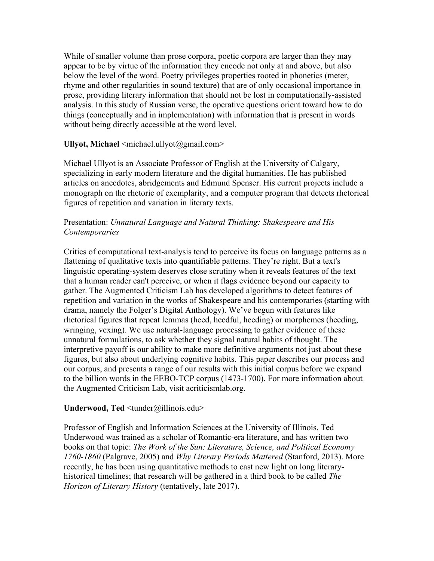While of smaller volume than prose corpora, poetic corpora are larger than they may appear to be by virtue of the information they encode not only at and above, but also below the level of the word. Poetry privileges properties rooted in phonetics (meter, rhyme and other regularities in sound texture) that are of only occasional importance in prose, providing literary information that should not be lost in computationally-assisted analysis. In this study of Russian verse, the operative questions orient toward how to do things (conceptually and in implementation) with information that is present in words without being directly accessible at the word level.

### **Ullyot, Michael** <michael.ullyot@gmail.com>

Michael Ullyot is an Associate Professor of English at the University of Calgary, specializing in early modern literature and the digital humanities. He has published articles on anecdotes, abridgements and Edmund Spenser. His current projects include a monograph on the rhetoric of exemplarity, and a computer program that detects rhetorical figures of repetition and variation in literary texts.

# Presentation: *Unnatural Language and Natural Thinking: Shakespeare and His Contemporaries*

Critics of computational text-analysis tend to perceive its focus on language patterns as a flattening of qualitative texts into quantifiable patterns. They're right. But a text's linguistic operating-system deserves close scrutiny when it reveals features of the text that a human reader can't perceive, or when it flags evidence beyond our capacity to gather. The Augmented Criticism Lab has developed algorithms to detect features of repetition and variation in the works of Shakespeare and his contemporaries (starting with drama, namely the Folger's Digital Anthology). We've begun with features like rhetorical figures that repeat lemmas (heed, heedful, heeding) or morphemes (heeding, wringing, vexing). We use natural-language processing to gather evidence of these unnatural formulations, to ask whether they signal natural habits of thought. The interpretive payoff is our ability to make more definitive arguments not just about these figures, but also about underlying cognitive habits. This paper describes our process and our corpus, and presents a range of our results with this initial corpus before we expand to the billion words in the EEBO-TCP corpus (1473-1700). For more information about the Augmented Criticism Lab, visit acriticismlab.org.

# Underwood, Ted <tunder@illinois.edu>

Professor of English and Information Sciences at the University of Illinois, Ted Underwood was trained as a scholar of Romantic-era literature, and has written two books on that topic: *The Work of the Sun: Literature, Science, and Political Economy 1760-1860* (Palgrave, 2005) and *Why Literary Periods Mattered* (Stanford, 2013). More recently, he has been using quantitative methods to cast new light on long literaryhistorical timelines; that research will be gathered in a third book to be called *The Horizon of Literary History* (tentatively, late 2017).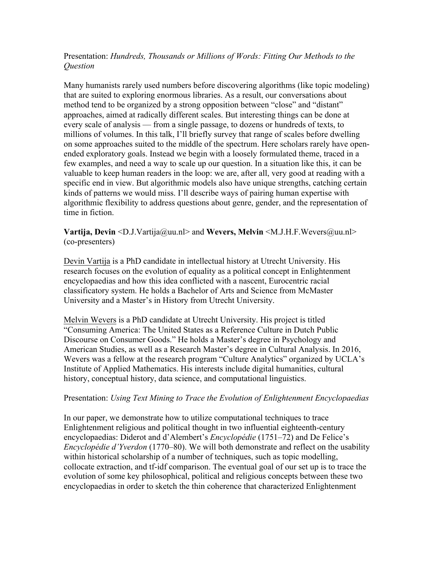### Presentation: *Hundreds, Thousands or Millions of Words: Fitting Our Methods to the Question*

Many humanists rarely used numbers before discovering algorithms (like topic modeling) that are suited to exploring enormous libraries. As a result, our conversations about method tend to be organized by a strong opposition between "close" and "distant" approaches, aimed at radically different scales. But interesting things can be done at every scale of analysis — from a single passage, to dozens or hundreds of texts, to millions of volumes. In this talk, I'll briefly survey that range of scales before dwelling on some approaches suited to the middle of the spectrum. Here scholars rarely have openended exploratory goals. Instead we begin with a loosely formulated theme, traced in a few examples, and need a way to scale up our question. In a situation like this, it can be valuable to keep human readers in the loop: we are, after all, very good at reading with a specific end in view. But algorithmic models also have unique strengths, catching certain kinds of patterns we would miss. I'll describe ways of pairing human expertise with algorithmic flexibility to address questions about genre, gender, and the representation of time in fiction.

**Vartija, Devin** <D.J.Vartija@uu.nl> and **Wevers, Melvin** <M.J.H.F.Wevers@uu.nl> (co-presenters)

Devin Vartija is a PhD candidate in intellectual history at Utrecht University. His research focuses on the evolution of equality as a political concept in Enlightenment encyclopaedias and how this idea conflicted with a nascent, Eurocentric racial classificatory system. He holds a Bachelor of Arts and Science from McMaster University and a Master's in History from Utrecht University.

Melvin Wevers is a PhD candidate at Utrecht University. His project is titled "Consuming America: The United States as a Reference Culture in Dutch Public Discourse on Consumer Goods." He holds a Master's degree in Psychology and American Studies, as well as a Research Master's degree in Cultural Analysis. In 2016, Wevers was a fellow at the research program "Culture Analytics" organized by UCLA's Institute of Applied Mathematics. His interests include digital humanities, cultural history, conceptual history, data science, and computational linguistics.

### Presentation: *Using Text Mining to Trace the Evolution of Enlightenment Encyclopaedias*

In our paper, we demonstrate how to utilize computational techniques to trace Enlightenment religious and political thought in two influential eighteenth-century encyclopaedias: Diderot and d'Alembert's *Encyclopédie* (1751–72) and De Felice's *Encyclopédie d'Yverdon* (1770–80). We will both demonstrate and reflect on the usability within historical scholarship of a number of techniques, such as topic modelling, collocate extraction, and tf-idf comparison. The eventual goal of our set up is to trace the evolution of some key philosophical, political and religious concepts between these two encyclopaedias in order to sketch the thin coherence that characterized Enlightenment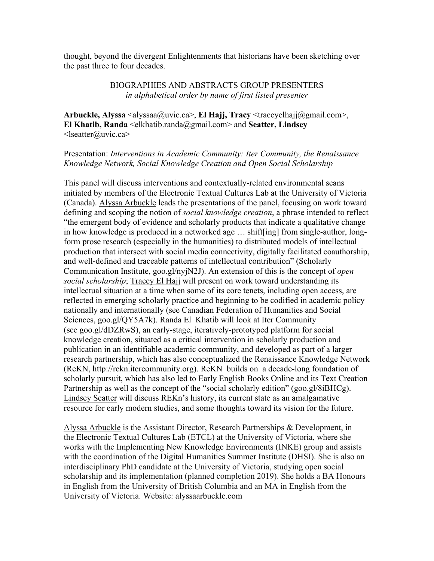thought, beyond the divergent Enlightenments that historians have been sketching over the past three to four decades.

### BIOGRAPHIES AND ABSTRACTS GROUP PRESENTERS *in alphabetical order by name of first listed presenter*

**Arbuckle, Alyssa** <alyssaa@uvic.ca>, **El Hajj, Tracy** <traceyelhajj@gmail.com>, **El Khatib, Randa** <elkhatib.randa@gmail.com> and **Seatter, Lindsey** <lseatter@uvic.ca>

#### Presentation: *Interventions in Academic Community: Iter Community, the Renaissance Knowledge Network, Social Knowledge Creation and Open Social Scholarship*

This panel will discuss interventions and contextually-related environmental scans initiated by members of the Electronic Textual Cultures Lab at the University of Victoria (Canada). Alyssa Arbuckle leads the presentations of the panel, focusing on work toward defining and scoping the notion of *social knowledge creation*, a phrase intended to reflect "the emergent body of evidence and scholarly products that indicate a qualitative change in how knowledge is produced in a networked age … shift[ing] from single-author, longform prose research (especially in the humanities) to distributed models of intellectual production that intersect with social media connectivity, digitally facilitated coauthorship, and well-defined and traceable patterns of intellectual contribution" (Scholarly Communication Institute, goo.gl/nyjN2J). An extension of this is the concept of *open social scholarship*; Tracey El Hajj will present on work toward understanding its intellectual situation at a time when some of its core tenets, including open access, are reflected in emerging scholarly practice and beginning to be codified in academic policy nationally and internationally (see Canadian Federation of Humanities and Social Sciences, goo.gl/QY5A7k). Randa El Khatib will look at Iter Community (see [goo.gl/dDZRwS](http://goo.gl/dDZRwS)), an early-stage, iteratively-prototyped platform for social knowledge creation, situated as a critical intervention in scholarly production and publication in an identifiable academic community, and developed as part of a larger research partnership, which has also conceptualized the Renaissance Knowledge Network (ReKN, [http://rekn.itercommunity.org](http://rekn.itercommunity.org/)). ReKN builds on a decade-long foundation of scholarly pursuit, which has also led to Early English Books Online and its Text Creation Partnership as well as the concept of the "social scholarly edition" [\(goo.gl/8iBHCg](http://goo.gl/8iBHCg)). Lindsey Seatter will discuss REKn's history, its current state as an amalgamative resource for early modern studies, and some thoughts toward its vision for the future.

Alyssa Arbuckle is the Assistant Director, Research Partnerships & Development, in the [Electronic Textual Cultures Lab](http://etcl.uvic.ca/) (ETCL) at the University of Victoria, where she works with the [Implementing New Knowledge Environments](http://inke.ca/) (INKE) group and assists with the coordination of the [Digital Humanities Summer Institute](http://dhsi.org/) (DHSI). She is also an interdisciplinary PhD candidate at the University of Victoria, studying open social scholarship and its implementation (planned completion 2019). She holds a BA Honours in English from the University of British Columbia and an MA in English from the University of Victoria. Website: [alyssaarbuckle.com](http://alyssaarbuckle.com/)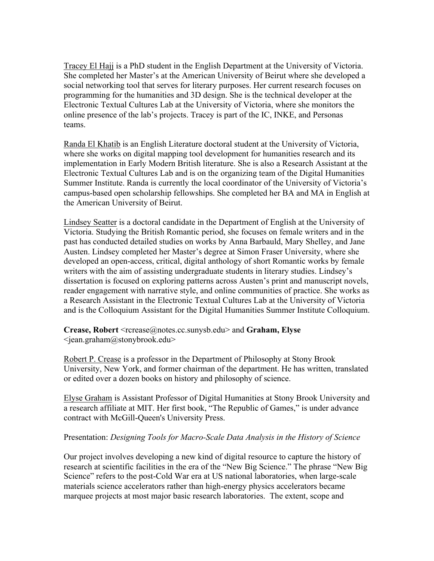Tracey El Hajj is a PhD student in the English Department at the University of Victoria. She completed her Master's at the American University of Beirut where she developed a social networking tool that serves for literary purposes. Her current research focuses on programming for the humanities and 3D design. She is the technical developer at the Electronic Textual Cultures Lab at the University of Victoria, where she monitors the online presence of the lab's projects. Tracey is part of the IC, INKE, and Personas teams.

Randa El Khatib is an English Literature doctoral student at the University of Victoria, where she works on digital mapping tool development for humanities research and its implementation in Early Modern British literature. She is also a Research Assistant at the Electronic Textual Cultures Lab and is on the organizing team of the Digital Humanities Summer Institute. Randa is currently the local coordinator of the University of Victoria's campus-based open scholarship fellowships. She completed her BA and MA in English at the American University of Beirut.

Lindsey Seatter is a doctoral candidate in the Department of English at the University of Victoria. Studying the British Romantic period, she focuses on female writers and in the past has conducted detailed studies on works by Anna Barbauld, Mary Shelley, and Jane Austen. Lindsey completed her Master's degree at Simon Fraser University, where she developed an open-access, critical, digital anthology of short Romantic works by female writers with the aim of assisting undergraduate students in literary studies. Lindsey's dissertation is focused on exploring patterns across Austen's print and manuscript novels, reader engagement with narrative style, and online communities of practice. She works as a Research Assistant in the Electronic Textual Cultures Lab at the University of Victoria and is the Colloquium Assistant for the Digital Humanities Summer Institute Colloquium.

**Crease, Robert** [<rcrease@notes.cc.sunysb.edu>](mailto:rcrease@notes.cc.sunysb.edu) and **Graham, Elyse** [<jean.graham@stonybrook.edu](mailto:jean.graham@stonybrook.edu)>

Robert P. Crease is a professor in the Department of Philosophy at Stony Brook University, New York, and former chairman of the department. He has written, translated or edited over a dozen books on history and philosophy of science.

Elyse Graham is Assistant Professor of Digital Humanities at Stony Brook University and a research affiliate at MIT. Her first book, "The Republic of Games," is under advance contract with McGill-Queen's University Press.

### Presentation: *Designing Tools for Macro-Scale Data Analysis in the History of Science*

Our project involves developing a new kind of digital resource to capture the history of research at scientific facilities in the era of the "New Big Science." The phrase "New Big Science" refers to the post-Cold War era at US national laboratories, when large-scale materials science accelerators rather than high-energy physics accelerators became marquee projects at most major basic research laboratories. The extent, scope and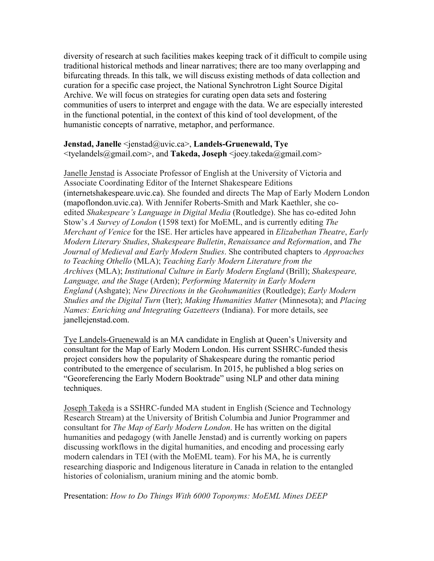diversity of research at such facilities makes keeping track of it difficult to compile using traditional historical methods and linear narratives; there are too many overlapping and bifurcating threads. In this talk, we will discuss existing methods of data collection and curation for a specific case project, the National Synchrotron Light Source Digital Archive. We will focus on strategies for curating open data sets and fostering communities of users to interpret and engage with the data. We are especially interested in the functional potential, in the context of this kind of tool development, of the humanistic concepts of narrative, metaphor, and performance.

### **Jenstad, Janelle** <jenstad@uvic.ca>, **Landels-Gruenewald, Tye** <tyelandels@gmail.com>, and **Takeda, Joseph** <joey.takeda@gmail.com>

Janelle Jenstad is Associate Professor of English at the University of Victoria and Associate Coordinating Editor of the Internet Shakespeare Editions (internetshakespeare.uvic.ca). She founded and directs The Map of Early Modern London (mapoflondon.uvic.ca). With Jennifer Roberts-Smith and Mark Kaethler, she coedited *Shakespeare's Language in Digital Media* (Routledge). She has co-edited John Stow's *A Survey of London* (1598 text) for MoEML, and is currently editing *The Merchant of Venice* for the ISE. Her articles have appeared in *Elizabethan Theatre*, *Early Modern Literary Studies*, *Shakespeare Bulletin*, *Renaissance and Reformation*, and *The Journal of Medieval and Early Modern Studies*. She contributed chapters to *Approaches to Teaching Othello* (MLA); *Teaching Early Modern Literature from the Archives* (MLA); *Institutional Culture in Early Modern England* (Brill); *Shakespeare, Language, and the Stage* (Arden); *Performing Maternity in Early Modern England* (Ashgate); *New Directions in the Geohumanities* (Routledge); *Early Modern Studies and the Digital Turn* (Iter); *Making Humanities Matter* (Minnesota); and *Placing Names: Enriching and Integrating Gazetteers* (Indiana). For more details, see janellejenstad.com.

Tye Landels-Gruenewald is an MA candidate in English at Queen's University and consultant for the Map of Early Modern London. His current SSHRC-funded thesis project considers how the popularity of Shakespeare during the romantic period contributed to the emergence of secularism. In 2015, he published a blog series on "Georeferencing the Early Modern Booktrade" using NLP and other data mining techniques.

Joseph Takeda is a SSHRC-funded MA student in English (Science and Technology Research Stream) at the University of British Columbia and Junior Programmer and consultant for *The Map of Early Modern London*. He has written on the digital humanities and pedagogy (with Janelle Jenstad) and is currently working on papers discussing workflows in the digital humanities, and encoding and processing early modern calendars in TEI (with the MoEML team). For his MA, he is currently researching diasporic and Indigenous literature in Canada in relation to the entangled histories of colonialism, uranium mining and the atomic bomb.

Presentation: *How to Do Things With 6000 Toponyms: MoEML Mines DEEP*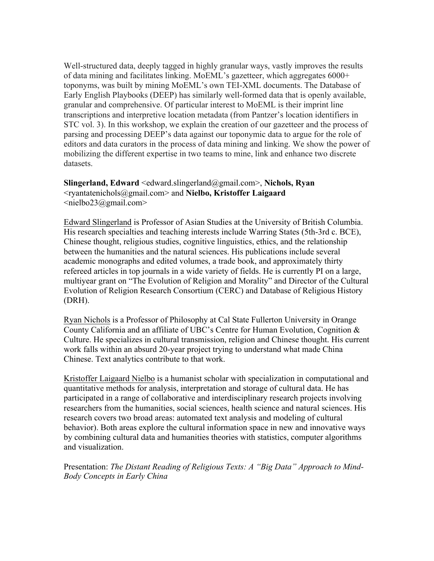Well-structured data, deeply tagged in highly granular ways, vastly improves the results of data mining and facilitates linking. MoEML's gazetteer, which aggregates 6000+ toponyms, was built by mining MoEML's own TEI-XML documents. The Database of Early English Playbooks (DEEP) has similarly well-formed data that is openly available, granular and comprehensive. Of particular interest to MoEML is their imprint line transcriptions and interpretive location metadata (from Pantzer's location identifiers in STC vol. 3). In this workshop, we explain the creation of our gazetteer and the process of parsing and processing DEEP's data against our toponymic data to argue for the role of editors and data curators in the process of data mining and linking. We show the power of mobilizing the different expertise in two teams to mine, link and enhance two discrete datasets.

**Slingerland, Edward** <edward.slingerland@gmail.com>, **Nichols, Ryan** <ryantatenichols@gmail.com> and **Nielbo, Kristoffer Laigaard**  $\leq$ nielbo23@gmail.com>

Edward Slingerland is Professor of Asian Studies at the University of British Columbia. His research specialties and teaching interests include Warring States (5th-3rd c. BCE), Chinese thought, religious studies, cognitive linguistics, ethics, and the relationship between the humanities and the natural sciences. His publications include several academic monographs and edited volumes, a trade book, and approximately thirty refereed articles in top journals in a wide variety of fields. He is currently PI on a large, multiyear grant on "The Evolution of Religion and Morality" and Director of the Cultural Evolution of Religion Research Consortium (CERC) and Database of Religious History (DRH).

Ryan Nichols is a Professor of Philosophy at Cal State Fullerton University in Orange County California and an affiliate of UBC's Centre for Human Evolution, Cognition & Culture. He specializes in cultural transmission, religion and Chinese thought. His current work falls within an absurd 20-year project trying to understand what made China Chinese. Text analytics contribute to that work.

Kristoffer Laigaard Nielbo is a humanist scholar with specialization in computational and quantitative methods for analysis, interpretation and storage of cultural data. He has participated in a range of collaborative and interdisciplinary research projects involving researchers from the humanities, social sciences, health science and natural sciences. His research covers two broad areas: automated text analysis and modeling of cultural behavior). Both areas explore the cultural information space in new and innovative ways by combining cultural data and humanities theories with statistics, computer algorithms and visualization.

Presentation: *The Distant Reading of Religious Texts: A "Big Data" Approach to Mind-Body Concepts in Early China*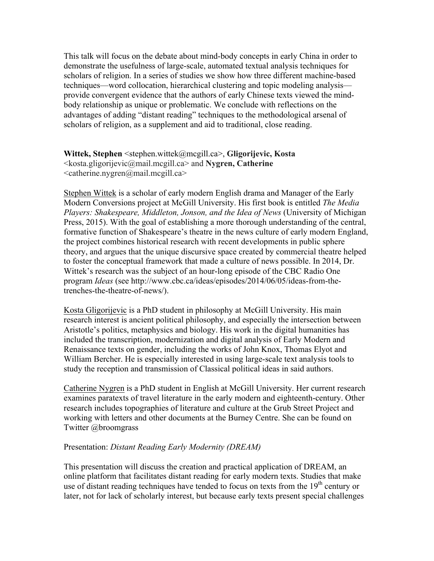This talk will focus on the debate about mind-body concepts in early China in order to demonstrate the usefulness of large-scale, automated textual analysis techniques for scholars of religion. In a series of studies we show how three different machine-based techniques—word collocation, hierarchical clustering and topic modeling analysis provide convergent evidence that the authors of early Chinese texts viewed the mindbody relationship as unique or problematic. We conclude with reflections on the advantages of adding "distant reading" techniques to the methodological arsenal of scholars of religion, as a supplement and aid to traditional, close reading.

**Wittek, Stephen** <stephen.wittek@mcgill.ca>, **Gligorijevic, Kosta** <kosta.gligorijevic@mail.mcgill.ca> and **Nygren, Catherine** <catherine.nygren@mail.mcgill.ca>

Stephen Wittek is a scholar of early modern English drama and Manager of the Early Modern Conversions project at McGill University. His first book is entitled *The Media Players: Shakespeare, Middleton, Jonson, and the Idea of News* (University of Michigan Press, 2015). With the goal of establishing a more thorough understanding of the central, formative function of Shakespeare's theatre in the news culture of early modern England, the project combines historical research with recent developments in public sphere theory, and argues that the unique discursive space created by commercial theatre helped to foster the conceptual framework that made a culture of news possible. In 2014, Dr. Wittek's research was the subject of an hour-long episode of the CBC Radio One program *Ideas* (see http://www.cbc.ca/ideas/episodes/2014/06/05/ideas-from-thetrenches-the-theatre-of-news/).

Kosta Gligorijevic is a PhD student in philosophy at McGill University. His main research interest is ancient political philosophy, and especially the intersection between Aristotle's politics, metaphysics and biology. His work in the digital humanities has included the transcription, modernization and digital analysis of Early Modern and Renaissance texts on gender, including the works of John Knox, Thomas Elyot and William Bercher. He is especially interested in using large-scale text analysis tools to study the reception and transmission of Classical political ideas in said authors.

Catherine Nygren is a PhD student in English at McGill University. Her current research examines paratexts of travel literature in the early modern and eighteenth-century. Other research includes topographies of literature and culture at the Grub Street Project and working with letters and other documents at the Burney Centre. She can be found on Twitter @broomgrass

### Presentation: *Distant Reading Early Modernity (DREAM)*

This presentation will discuss the creation and practical application of DREAM, an online platform that facilitates distant reading for early modern texts. Studies that make use of distant reading techniques have tended to focus on texts from the  $19<sup>th</sup>$  century or later, not for lack of scholarly interest, but because early texts present special challenges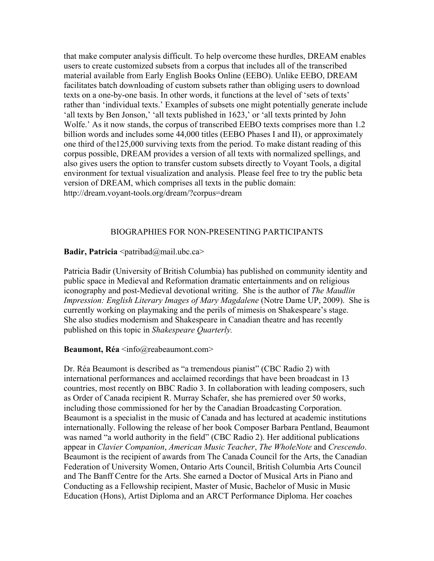that make computer analysis difficult. To help overcome these hurdles, DREAM enables users to create customized subsets from a corpus that includes all of the transcribed material available from Early English Books Online (EEBO). Unlike EEBO, DREAM facilitates batch downloading of custom subsets rather than obliging users to download texts on a one-by-one basis. In other words, it functions at the level of 'sets of texts' rather than 'individual texts.' Examples of subsets one might potentially generate include 'all texts by Ben Jonson,' 'all texts published in 1623,' or 'all texts printed by John Wolfe.' As it now stands, the corpus of transcribed EEBO texts comprises more than 1.2 billion words and includes some 44,000 titles (EEBO Phases I and II), or approximately one third of the125,000 surviving texts from the period. To make distant reading of this corpus possible, DREAM provides a version of all texts with normalized spellings, and also gives users the option to transfer custom subsets directly to Voyant Tools, a digital environment for textual visualization and analysis. Please feel free to try the public beta version of DREAM, which comprises all texts in the public domain: <http://dream.voyant-tools.org/dream/?corpus=dream>

#### BIOGRAPHIES FOR NON-PRESENTING PARTICIPANTS

#### **Badir, Patricia** <patribad@mail.ubc.ca>

Patricia Badir (University of British Columbia) has published on community identity and public space in Medieval and Reformation dramatic entertainments and on religious iconography and post-Medieval devotional writing. She is the author of *The Maudlin Impression: English Literary Images of Mary Magdalene* (Notre Dame UP, 2009). She is currently working on playmaking and the perils of mimesis on Shakespeare's stage. She also studies modernism and Shakespeare in Canadian theatre and has recently published on this topic in *Shakespeare Quarterly.*

#### **Beaumont, Réa** <info@reabeaumont.com>

Dr. Réa Beaumont is described as "a tremendous pianist" (CBC Radio 2) with international performances and acclaimed recordings that have been broadcast in 13 countries, most recently on BBC Radio 3. In collaboration with leading composers, such as Order of Canada recipient R. Murray Schafer, she has premiered over 50 works, including those commissioned for her by the Canadian Broadcasting Corporation. Beaumont is a specialist in the music of Canada and has lectured at academic institutions internationally. Following the release of her book Composer Barbara Pentland, Beaumont was named "a world authority in the field" (CBC Radio 2). Her additional publications appear in *Clavier Companion*, *American Music Teacher*, *The WholeNote* and *Crescendo*. Beaumont is the recipient of awards from The Canada Council for the Arts, the Canadian Federation of University Women, Ontario Arts Council, British Columbia Arts Council and The Banff Centre for the Arts. She earned a Doctor of Musical Arts in Piano and Conducting as a Fellowship recipient, Master of Music, Bachelor of Music in Music Education (Hons), Artist Diploma and an ARCT Performance Diploma. Her coaches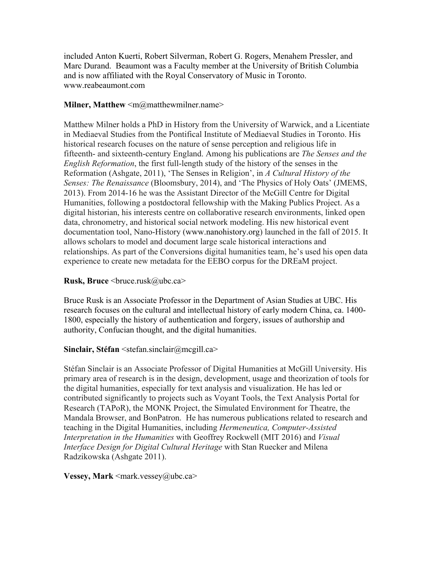included Anton Kuerti, Robert Silverman, Robert G. Rogers, Menahem Pressler, and Marc Durand. Beaumont was a Faculty member at the University of British Columbia and is now affiliated with the Royal Conservatory of Music in Toronto. www.reabeaumont.com

### **Milner, Matthew** <m@matthewmilner.name>

Matthew Milner holds a PhD in History from the University of Warwick, and a Licentiate in Mediaeval Studies from the Pontifical Institute of Mediaeval Studies in Toronto. His historical research focuses on the nature of sense perception and religious life in fifteenth- and sixteenth-century England. Among his publications are *The Senses and the English Reformation*, the first full-length study of the history of the senses in the Reformation (Ashgate, 2011), 'The Senses in Religion', in *A Cultural History of the Senses: The Renaissance* (Bloomsbury, 2014), and 'The Physics of Holy Oats' (JMEMS, 2013). From 2014-16 he was the Assistant Director of the McGill Centre for Digital Humanities, following a postdoctoral fellowship with the Making Publics Project. As a digital historian, his interests centre on collaborative research environments, linked open data, chronometry, and historical social network modeling. His new historical event documentation tool, Nano-History ([www.nanohistory.org](http://www.nanohistory.org/)) launched in the fall of 2015. It allows scholars to model and document large scale historical interactions and relationships. As part of the Conversions digital humanities team, he's used his open data experience to create new metadata for the EEBO corpus for the DREaM project.

### **Rusk, Bruce** <bruce.rusk@ubc.ca>

Bruce Rusk is an Associate Professor in the Department of Asian Studies at UBC. His research focuses on the cultural and intellectual history of early modern China, ca. 1400- 1800, especially the history of authentication and forgery, issues of authorship and authority, Confucian thought, and the digital humanities.

### **Sinclair, Stéfan** <stefan.sinclair@mcgill.ca>

Stéfan Sinclair is an Associate Professor of Digital Humanities at McGill University. His primary area of research is in the design, development, usage and theorization of tools for the digital humanities, especially for text analysis and visualization. He has led or contributed significantly to projects such as Voyant Tools, the Text Analysis Portal for Research (TAPoR), the MONK Project, the Simulated Environment for Theatre, the Mandala Browser, and BonPatron. He has numerous publications related to research and teaching in the Digital Humanities, including *Hermeneutica, Computer-Assisted Interpretation in the Humanities* with Geoffrey Rockwell (MIT 2016) and *Visual Interface Design for Digital Cultural Heritage* with Stan Ruecker and Milena Radzikowska (Ashgate 2011).

### **Vessey, Mark**  $\leq$  mark.vessey@ubc.ca>